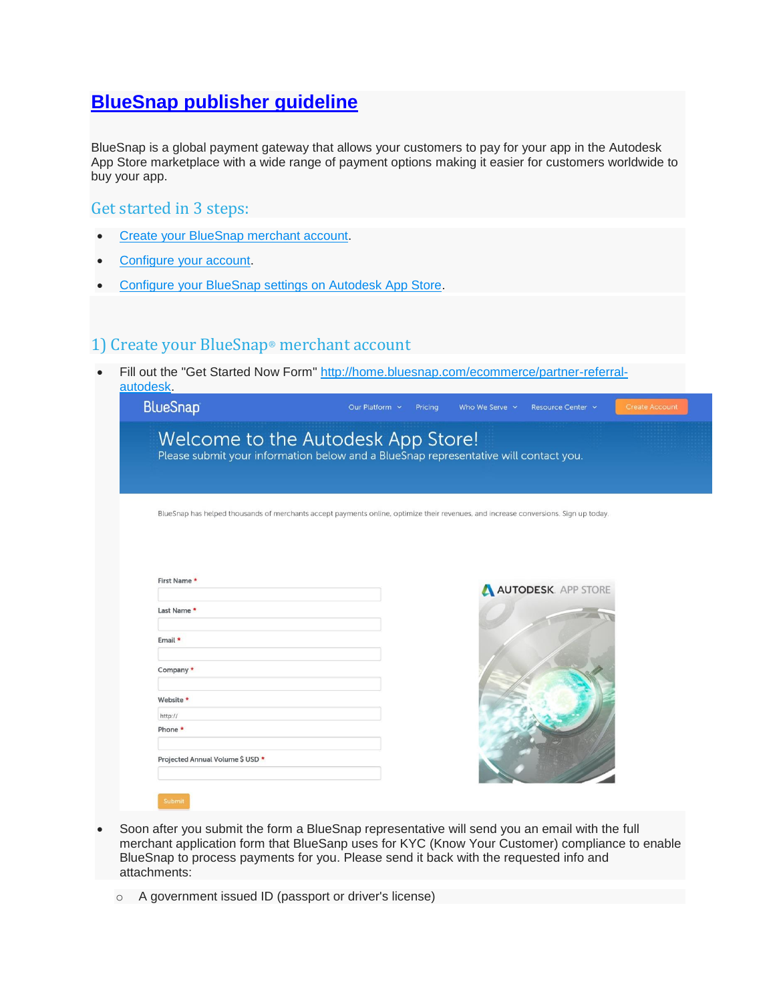# **[BlueSnap publisher guideline](https://apps.autodesk.com/en/Public/BlueSnapGuide)**

BlueSnap is a global payment gateway that allows your customers to pay for your app in the Autodesk App Store marketplace with a wide range of payment options making it easier for customers worldwide to buy your app.

#### Get started in 3 steps:

- [Create your BlueSnap merchant account.](https://apps.autodesk.com/en/Public/BlueSnapGuide#bsfaq_ca)
- [Configure your account.](https://apps.autodesk.com/en/Public/BlueSnapGuide#bsfaq_cbs)
- [Configure your BlueSnap settings on Autodesk App Store.](https://apps.autodesk.com/en/Public/BlueSnapGuide#bsfaq_cbsapps)

## 1) Create your BlueSnap® merchant account

 Fill out the "Get Started Now Form" [http://home.bluesnap.com/ecommerce/partner-referral](http://home.bluesnap.com/ecommerce/partner-referral-autodesk)[autodesk.](http://home.bluesnap.com/ecommerce/partner-referral-autodesk)

|                                                                                                                                      | Please submit your information below and a BlueSnap representative will contact you. |                     |  |
|--------------------------------------------------------------------------------------------------------------------------------------|--------------------------------------------------------------------------------------|---------------------|--|
|                                                                                                                                      |                                                                                      |                     |  |
|                                                                                                                                      |                                                                                      |                     |  |
| BlueSnap has helped thousands of merchants accept payments online, optimize their revenues, and increase conversions. Sign up today. |                                                                                      |                     |  |
|                                                                                                                                      |                                                                                      |                     |  |
|                                                                                                                                      |                                                                                      |                     |  |
| First Name *                                                                                                                         |                                                                                      |                     |  |
|                                                                                                                                      |                                                                                      | AUTODESK. APP STORE |  |
| Last Name *                                                                                                                          |                                                                                      |                     |  |
|                                                                                                                                      |                                                                                      |                     |  |
| Email *                                                                                                                              |                                                                                      |                     |  |
| Company *                                                                                                                            |                                                                                      |                     |  |
|                                                                                                                                      |                                                                                      |                     |  |
|                                                                                                                                      |                                                                                      |                     |  |
| Website *                                                                                                                            |                                                                                      |                     |  |
| http://                                                                                                                              |                                                                                      |                     |  |
| Phone *                                                                                                                              |                                                                                      |                     |  |
|                                                                                                                                      |                                                                                      |                     |  |

- Soon after you submit the form a BlueSnap representative will send you an email with the full merchant application form that BlueSanp uses for KYC (Know Your Customer) compliance to enable BlueSnap to process payments for you. Please send it back with the requested info and attachments:
	- o A government issued ID (passport or driver's license)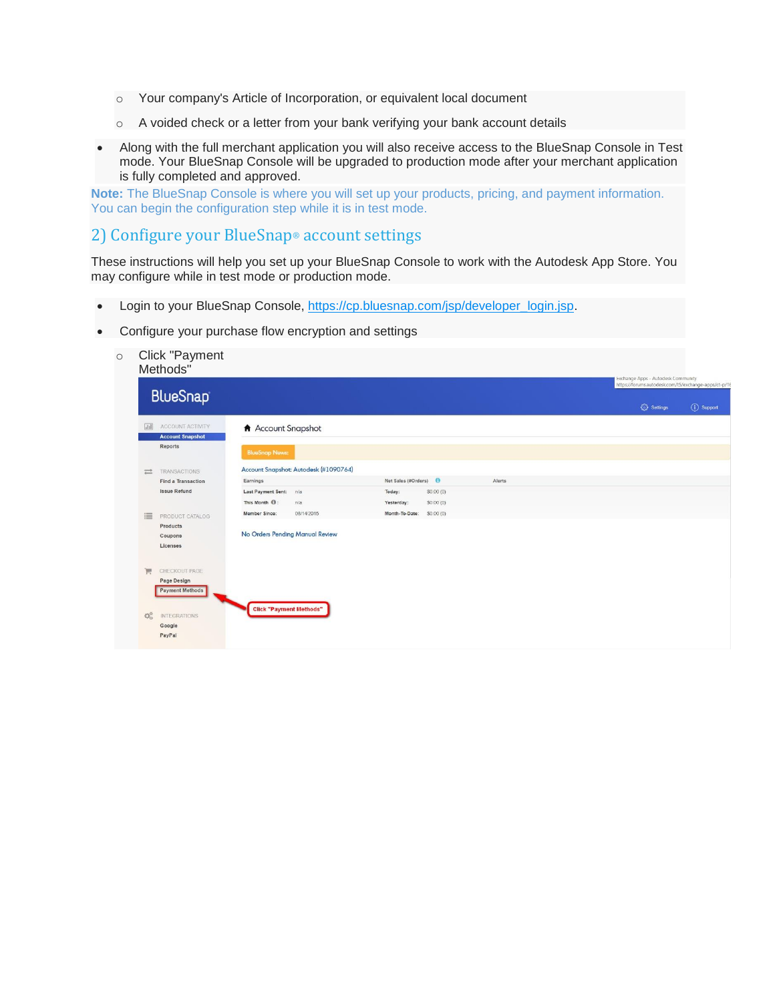- o Your company's Article of Incorporation, or equivalent local document
- o A voided check or a letter from your bank verifying your bank account details
- Along with the full merchant application you will also receive access to the BlueSnap Console in Test mode. Your BlueSnap Console will be upgraded to production mode after your merchant application is fully completed and approved.

**Note:** The BlueSnap Console is where you will set up your products, pricing, and payment information. You can begin the configuration step while it is in test mode.

### 2) Configure your BlueSnap® account settings

These instructions will help you set up your BlueSnap Console to work with the Autodesk App Store. You may configure while in test mode or production mode.

- Login to your BlueSnap Console, [https://cp.bluesnap.com/jsp/developer\\_login.jsp.](https://cp.bluesnap.com/jsp/developer_login.jsp)
- Configure your purchase flow encryption and settings
	- o Click "Payment

|                                | <b>BlueSnap</b>                       |                                |                                       |                     |           |        | https://forums.autodesk.com/t5/exchange-apps/ct-p/16 |             |
|--------------------------------|---------------------------------------|--------------------------------|---------------------------------------|---------------------|-----------|--------|------------------------------------------------------|-------------|
|                                |                                       |                                |                                       |                     |           |        | ₹ Settings                                           | (i) Support |
| $\sqrt{11}$                    | ACCOUNT ACTIVITY                      | Account Snapshot               |                                       |                     |           |        |                                                      |             |
|                                | <b>Account Snapshot</b><br>Reports    | <b>BlueSnap News:</b>          |                                       |                     |           |        |                                                      |             |
| $\equiv$                       | TRANSACTIONS                          |                                | Account Snapshot: Autodesk (#1090764) |                     |           |        |                                                      |             |
|                                | Find a Transaction                    | Earnings                       |                                       | Net Sales (#Orders) |           | Alerts |                                                      |             |
|                                | <b>Issue Refund</b>                   | Last Payment Sent: n/a         |                                       | Today:              | SO.00(0)  |        |                                                      |             |
|                                |                                       | This Month <sup>(0</sup> ):    | n/a                                   | Yesterday:          | \$0.00(0) |        |                                                      |             |
| 這                              | PRODUCT CATALOG                       | Member Since:                  | 08/14/2015                            | Month-To-Date:      | SO.00(0)  |        |                                                      |             |
|                                | Products                              |                                |                                       |                     |           |        |                                                      |             |
|                                | Coupons                               |                                | No Orders Pending Manual Review       |                     |           |        |                                                      |             |
|                                | Licenses                              |                                |                                       |                     |           |        |                                                      |             |
| 買                              | CHECKOUT PAGE                         |                                |                                       |                     |           |        |                                                      |             |
|                                | Page Design<br><b>Payment Methods</b> |                                |                                       |                     |           |        |                                                      |             |
|                                |                                       | <b>Click "Payment Methods"</b> |                                       |                     |           |        |                                                      |             |
| $\mathbb{Q}^{\alpha}_{\alpha}$ | <b>INTEGRATIONS</b>                   |                                |                                       |                     |           |        |                                                      |             |
|                                |                                       |                                |                                       |                     |           |        |                                                      |             |